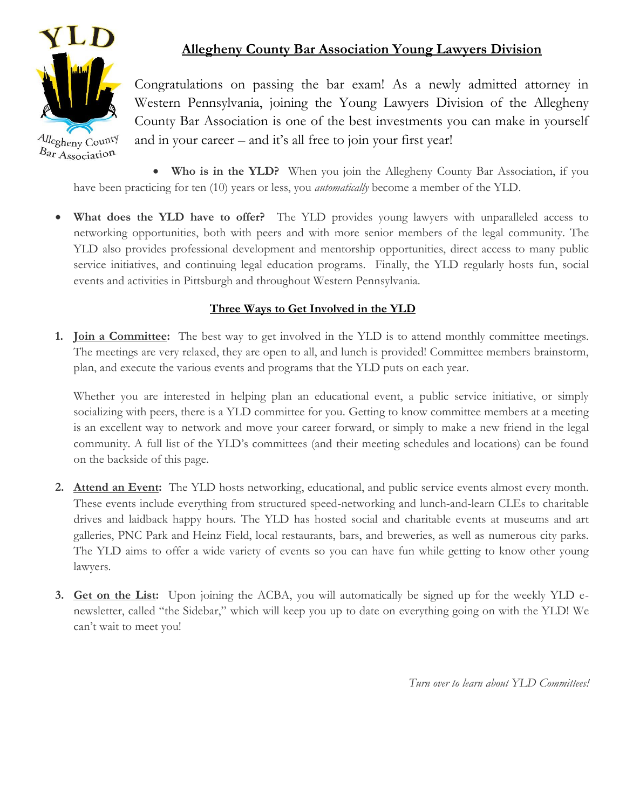

## **Allegheny County Bar Association Young Lawyers Division**

Congratulations on passing the bar exam! As a newly admitted attorney in Western Pennsylvania, joining the Young Lawyers Division of the Allegheny County Bar Association is one of the best investments you can make in yourself and in your career – and it's all free to join your first year!

 **Who is in the YLD?** When you join the Allegheny County Bar Association, if you have been practicing for ten (10) years or less, you *automatically* become a member of the YLD.

 **What does the YLD have to offer?** The YLD provides young lawyers with unparalleled access to networking opportunities, both with peers and with more senior members of the legal community. The YLD also provides professional development and mentorship opportunities, direct access to many public service initiatives, and continuing legal education programs. Finally, the YLD regularly hosts fun, social events and activities in Pittsburgh and throughout Western Pennsylvania.

## **Three Ways to Get Involved in the YLD**

**1. Join a Committee:** The best way to get involved in the YLD is to attend monthly committee meetings. The meetings are very relaxed, they are open to all, and lunch is provided! Committee members brainstorm, plan, and execute the various events and programs that the YLD puts on each year.

Whether you are interested in helping plan an educational event, a public service initiative, or simply socializing with peers, there is a YLD committee for you. Getting to know committee members at a meeting is an excellent way to network and move your career forward, or simply to make a new friend in the legal community. A full list of the YLD's committees (and their meeting schedules and locations) can be found on the backside of this page.

- **2. Attend an Event:** The YLD hosts networking, educational, and public service events almost every month. These events include everything from structured speed-networking and lunch-and-learn CLEs to charitable drives and laidback happy hours. The YLD has hosted social and charitable events at museums and art galleries, PNC Park and Heinz Field, local restaurants, bars, and breweries, as well as numerous city parks. The YLD aims to offer a wide variety of events so you can have fun while getting to know other young lawyers.
- **3. Get on the List:** Upon joining the ACBA, you will automatically be signed up for the weekly YLD enewsletter, called "the Sidebar," which will keep you up to date on everything going on with the YLD! We can't wait to meet you!

*Turn over to learn about YLD Committees!*